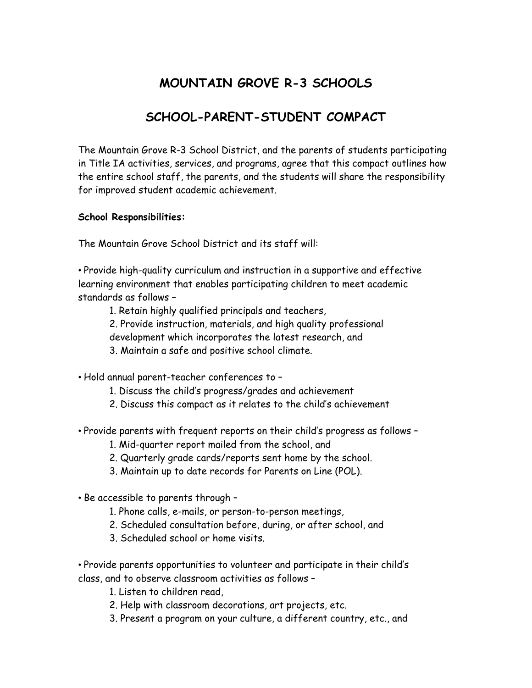## **MOUNTAIN GROVE R-3 SCHOOLS**

## **SCHOOL-PARENT-STUDENT COMPACT**

The Mountain Grove R-3 School District, and the parents of students participating in Title IA activities, services, and programs, agree that this compact outlines how the entire school staff, the parents, and the students will share the responsibility for improved student academic achievement.

## **School Responsibilities:**

The Mountain Grove School District and its staff will:

• Provide high-quality curriculum and instruction in a supportive and effective learning environment that enables participating children to meet academic standards as follows –

- 1. Retain highly qualified principals and teachers,
- 2. Provide instruction, materials, and high quality professional
- development which incorporates the latest research, and
- 3. Maintain a safe and positive school climate.
- Hold annual parent-teacher conferences to
	- 1. Discuss the child's progress/grades and achievement
	- 2. Discuss this compact as it relates to the child's achievement
- Provide parents with frequent reports on their child's progress as follows
	- 1. Mid-quarter report mailed from the school, and
	- 2. Quarterly grade cards/reports sent home by the school.
	- 3. Maintain up to date records for Parents on Line (POL).
- Be accessible to parents through
	- 1. Phone calls, e-mails, or person-to-person meetings,
	- 2. Scheduled consultation before, during, or after school, and
	- 3. Scheduled school or home visits.

• Provide parents opportunities to volunteer and participate in their child's class, and to observe classroom activities as follows –

1. Listen to children read,

- 2. Help with classroom decorations, art projects, etc.
- 3. Present a program on your culture, a different country, etc., and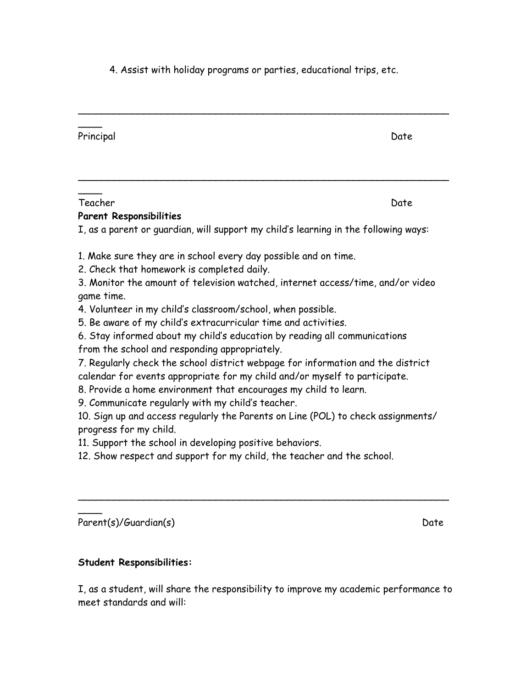4. Assist with holiday programs or parties, educational trips, etc.

| Principal                                                                                                                                                                                                                                                                                                                                                                                                                                                                                                                                                                                                                                                                                                                                                                                                                                                                                                                                                                                                                   | Date |
|-----------------------------------------------------------------------------------------------------------------------------------------------------------------------------------------------------------------------------------------------------------------------------------------------------------------------------------------------------------------------------------------------------------------------------------------------------------------------------------------------------------------------------------------------------------------------------------------------------------------------------------------------------------------------------------------------------------------------------------------------------------------------------------------------------------------------------------------------------------------------------------------------------------------------------------------------------------------------------------------------------------------------------|------|
| Teacher<br><b>Parent Responsibilities</b>                                                                                                                                                                                                                                                                                                                                                                                                                                                                                                                                                                                                                                                                                                                                                                                                                                                                                                                                                                                   | Date |
| I, as a parent or guardian, will support my child's learning in the following ways:                                                                                                                                                                                                                                                                                                                                                                                                                                                                                                                                                                                                                                                                                                                                                                                                                                                                                                                                         |      |
| 1. Make sure they are in school every day possible and on time.<br>2. Check that homework is completed daily.<br>3. Monitor the amount of television watched, internet access/time, and/or video<br>game time.<br>4. Volunteer in my child's classroom/school, when possible.<br>5. Be aware of my child's extracurricular time and activities.<br>6. Stay informed about my child's education by reading all communications<br>from the school and responding appropriately.<br>7. Regularly check the school district webpage for information and the district<br>calendar for events appropriate for my child and/or myself to participate.<br>8. Provide a home environment that encourages my child to learn.<br>9. Communicate regularly with my child's teacher.<br>10. Sign up and access regularly the Parents on Line (POL) to check assignments/<br>progress for my child.<br>11. Support the school in developing positive behaviors.<br>12. Show respect and support for my child, the teacher and the school. |      |
| Parent(s)/Guardian(s)                                                                                                                                                                                                                                                                                                                                                                                                                                                                                                                                                                                                                                                                                                                                                                                                                                                                                                                                                                                                       | Date |

## **Student Responsibilities:**

I, as a student, will share the responsibility to improve my academic performance to meet standards and will: